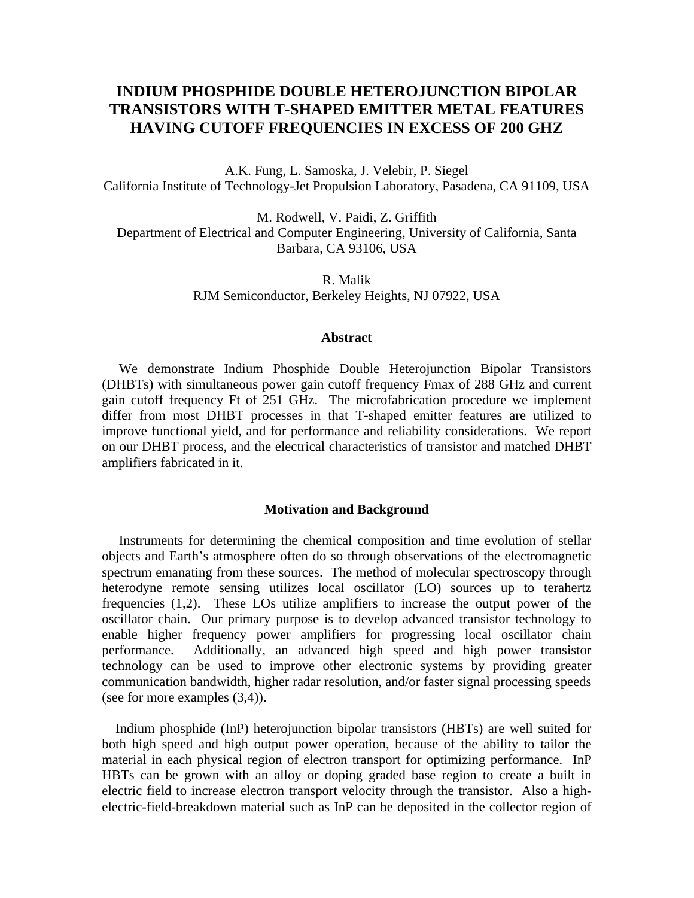# **INDIUM PHOSPHIDE DOUBLE HETEROJUNCTION BIPOLAR TRANSISTORS WITH T-SHAPED EMITTER METAL FEATURES HAVING CUTOFF FREQUENCIES IN EXCESS OF 200 GHZ**

A.K. Fung, L. Samoska, J. Velebir, P. Siegel California Institute of Technology-Jet Propulsion Laboratory, Pasadena, CA 91109, USA

M. Rodwell, V. Paidi, Z. Griffith Department of Electrical and Computer Engineering, University of California, Santa Barbara, CA 93106, USA

> R. Malik RJM Semiconductor, Berkeley Heights, NJ 07922, USA

### **Abstract**

 We demonstrate Indium Phosphide Double Heterojunction Bipolar Transistors (DHBTs) with simultaneous power gain cutoff frequency Fmax of 288 GHz and current gain cutoff frequency Ft of 251 GHz. The microfabrication procedure we implement differ from most DHBT processes in that T-shaped emitter features are utilized to improve functional yield, and for performance and reliability considerations. We report on our DHBT process, and the electrical characteristics of transistor and matched DHBT amplifiers fabricated in it.

# **Motivation and Background**

 Instruments for determining the chemical composition and time evolution of stellar objects and Earth's atmosphere often do so through observations of the electromagnetic spectrum emanating from these sources. The method of molecular spectroscopy through heterodyne remote sensing utilizes local oscillator (LO) sources up to terahertz frequencies (1,2). These LOs utilize amplifiers to increase the output power of the oscillator chain. Our primary purpose is to develop advanced transistor technology to enable higher frequency power amplifiers for progressing local oscillator chain performance. Additionally, an advanced high speed and high power transistor technology can be used to improve other electronic systems by providing greater communication bandwidth, higher radar resolution, and/or faster signal processing speeds (see for more examples (3,4)).

 Indium phosphide (InP) heterojunction bipolar transistors (HBTs) are well suited for both high speed and high output power operation, because of the ability to tailor the material in each physical region of electron transport for optimizing performance. InP HBTs can be grown with an alloy or doping graded base region to create a built in electric field to increase electron transport velocity through the transistor. Also a highelectric-field-breakdown material such as InP can be deposited in the collector region of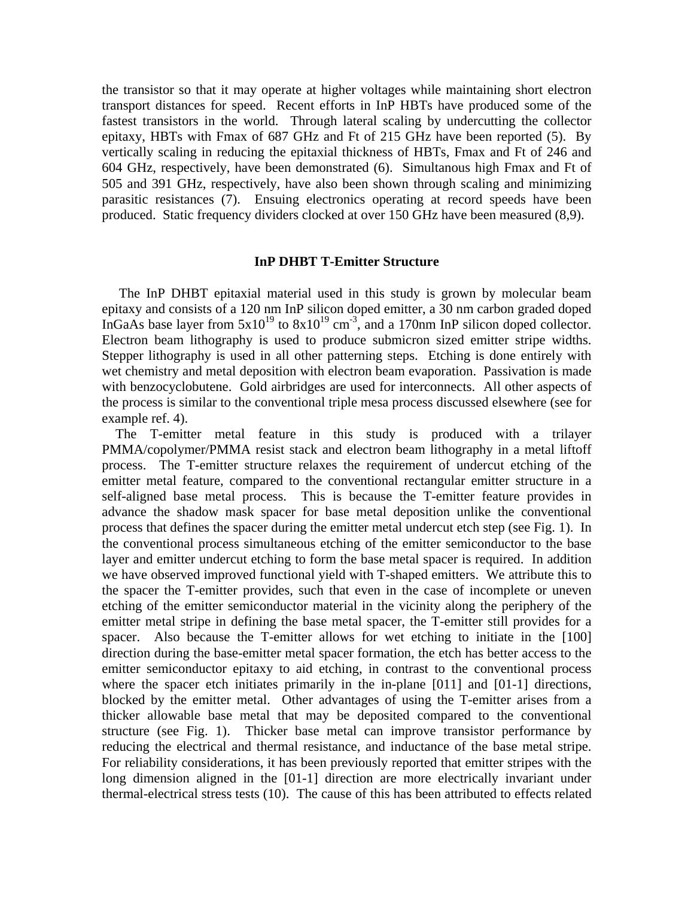the transistor so that it may operate at higher voltages while maintaining short electron transport distances for speed. Recent efforts in InP HBTs have produced some of the fastest transistors in the world. Through lateral scaling by undercutting the collector epitaxy, HBTs with Fmax of 687 GHz and Ft of 215 GHz have been reported (5). By vertically scaling in reducing the epitaxial thickness of HBTs, Fmax and Ft of 246 and 604 GHz, respectively, have been demonstrated (6). Simultanous high Fmax and Ft of 505 and 391 GHz, respectively, have also been shown through scaling and minimizing parasitic resistances (7). Ensuing electronics operating at record speeds have been produced. Static frequency dividers clocked at over 150 GHz have been measured (8,9).

# **InP DHBT T-Emitter Structure**

 The InP DHBT epitaxial material used in this study is grown by molecular beam epitaxy and consists of a 120 nm InP silicon doped emitter, a 30 nm carbon graded doped InGaAs base layer from  $5x10^{19}$  to  $8x10^{19}$  cm<sup>-3</sup>, and a 170nm InP silicon doped collector. Electron beam lithography is used to produce submicron sized emitter stripe widths. Stepper lithography is used in all other patterning steps. Etching is done entirely with wet chemistry and metal deposition with electron beam evaporation. Passivation is made with benzocyclobutene. Gold airbridges are used for interconnects. All other aspects of the process is similar to the conventional triple mesa process discussed elsewhere (see for example ref. 4).

 The T-emitter metal feature in this study is produced with a trilayer PMMA/copolymer/PMMA resist stack and electron beam lithography in a metal liftoff process. The T-emitter structure relaxes the requirement of undercut etching of the emitter metal feature, compared to the conventional rectangular emitter structure in a self-aligned base metal process. This is because the T-emitter feature provides in advance the shadow mask spacer for base metal deposition unlike the conventional process that defines the spacer during the emitter metal undercut etch step (see Fig. 1). In the conventional process simultaneous etching of the emitter semiconductor to the base layer and emitter undercut etching to form the base metal spacer is required. In addition we have observed improved functional yield with T-shaped emitters. We attribute this to the spacer the T-emitter provides, such that even in the case of incomplete or uneven etching of the emitter semiconductor material in the vicinity along the periphery of the emitter metal stripe in defining the base metal spacer, the T-emitter still provides for a spacer. Also because the T-emitter allows for wet etching to initiate in the [100] direction during the base-emitter metal spacer formation, the etch has better access to the emitter semiconductor epitaxy to aid etching, in contrast to the conventional process where the spacer etch initiates primarily in the in-plane [011] and [01-1] directions, blocked by the emitter metal. Other advantages of using the T-emitter arises from a thicker allowable base metal that may be deposited compared to the conventional structure (see Fig. 1). Thicker base metal can improve transistor performance by reducing the electrical and thermal resistance, and inductance of the base metal stripe. For reliability considerations, it has been previously reported that emitter stripes with the long dimension aligned in the [01-1] direction are more electrically invariant under thermal-electrical stress tests (10). The cause of this has been attributed to effects related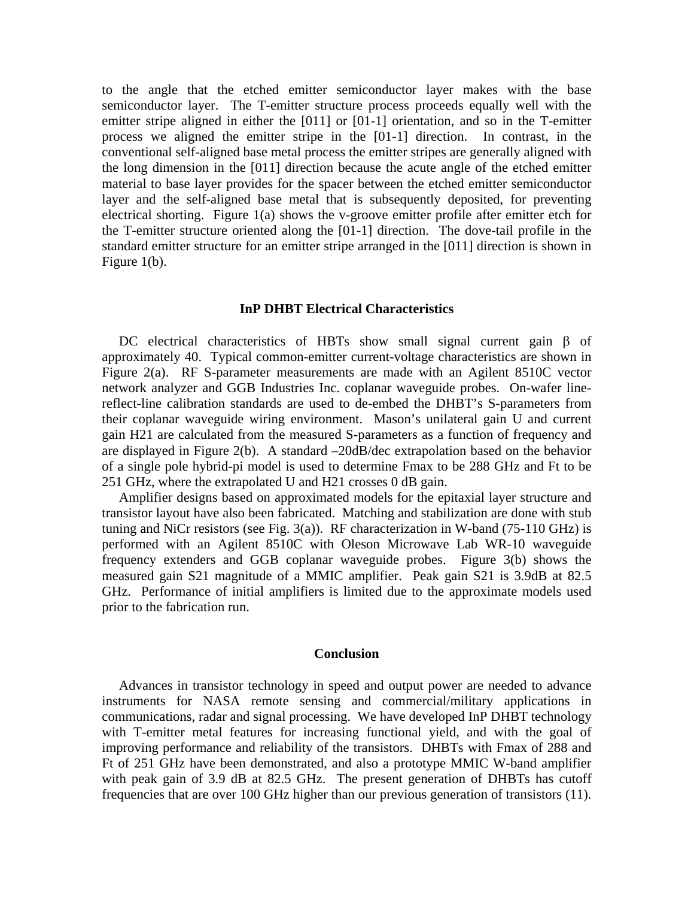to the angle that the etched emitter semiconductor layer makes with the base semiconductor layer. The T-emitter structure process proceeds equally well with the emitter stripe aligned in either the [011] or [01-1] orientation, and so in the T-emitter process we aligned the emitter stripe in the [01-1] direction. In contrast, in the conventional self-aligned base metal process the emitter stripes are generally aligned with the long dimension in the [011] direction because the acute angle of the etched emitter material to base layer provides for the spacer between the etched emitter semiconductor layer and the self-aligned base metal that is subsequently deposited, for preventing electrical shorting. Figure 1(a) shows the v-groove emitter profile after emitter etch for the T-emitter structure oriented along the [01-1] direction. The dove-tail profile in the standard emitter structure for an emitter stripe arranged in the [011] direction is shown in Figure 1(b).

#### **InP DHBT Electrical Characteristics**

 DC electrical characteristics of HBTs show small signal current gain β of approximately 40. Typical common-emitter current-voltage characteristics are shown in Figure 2(a). RF S-parameter measurements are made with an Agilent 8510C vector network analyzer and GGB Industries Inc. coplanar waveguide probes. On-wafer linereflect-line calibration standards are used to de-embed the DHBT's S-parameters from their coplanar waveguide wiring environment. Mason's unilateral gain U and current gain H21 are calculated from the measured S-parameters as a function of frequency and are displayed in Figure 2(b). A standard –20dB/dec extrapolation based on the behavior of a single pole hybrid-pi model is used to determine Fmax to be 288 GHz and Ft to be 251 GHz, where the extrapolated U and H21 crosses 0 dB gain.

 Amplifier designs based on approximated models for the epitaxial layer structure and transistor layout have also been fabricated. Matching and stabilization are done with stub tuning and NiCr resistors (see Fig. 3(a)). RF characterization in W-band (75-110 GHz) is performed with an Agilent 8510C with Oleson Microwave Lab WR-10 waveguide frequency extenders and GGB coplanar waveguide probes. Figure 3(b) shows the measured gain S21 magnitude of a MMIC amplifier. Peak gain S21 is 3.9dB at 82.5 GHz. Performance of initial amplifiers is limited due to the approximate models used prior to the fabrication run.

#### **Conclusion**

 Advances in transistor technology in speed and output power are needed to advance instruments for NASA remote sensing and commercial/military applications in communications, radar and signal processing. We have developed InP DHBT technology with T-emitter metal features for increasing functional yield, and with the goal of improving performance and reliability of the transistors. DHBTs with Fmax of 288 and Ft of 251 GHz have been demonstrated, and also a prototype MMIC W-band amplifier with peak gain of 3.9 dB at 82.5 GHz. The present generation of DHBTs has cutoff frequencies that are over 100 GHz higher than our previous generation of transistors (11).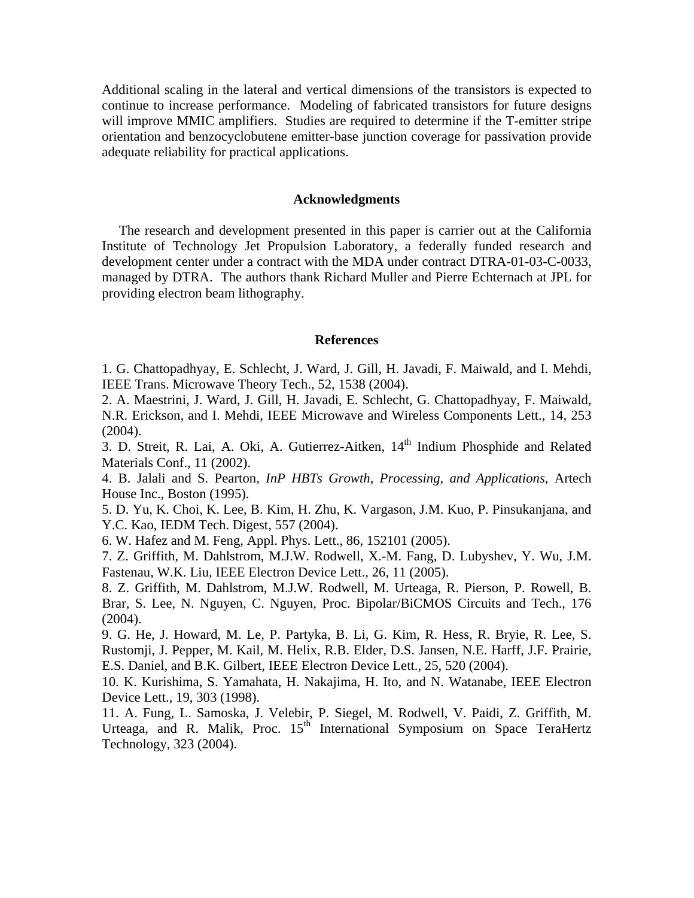Additional scaling in the lateral and vertical dimensions of the transistors is expected to continue to increase performance. Modeling of fabricated transistors for future designs will improve MMIC amplifiers. Studies are required to determine if the T-emitter stripe orientation and benzocyclobutene emitter-base junction coverage for passivation provide adequate reliability for practical applications.

# **Acknowledgments**

 The research and development presented in this paper is carrier out at the California Institute of Technology Jet Propulsion Laboratory, a federally funded research and development center under a contract with the MDA under contract DTRA-01-03-C-0033, managed by DTRA. The authors thank Richard Muller and Pierre Echternach at JPL for providing electron beam lithography.

# **References**

1. G. Chattopadhyay, E. Schlecht, J. Ward, J. Gill, H. Javadi, F. Maiwald, and I. Mehdi, IEEE Trans. Microwave Theory Tech., 52, 1538 (2004).

2. A. Maestrini, J. Ward, J. Gill, H. Javadi, E. Schlecht, G. Chattopadhyay, F. Maiwald, N.R. Erickson, and I. Mehdi, IEEE Microwave and Wireless Components Lett., 14, 253  $(2004)$ .

3. D. Streit, R. Lai, A. Oki, A. Gutierrez-Aitken,  $14<sup>th</sup>$  Indium Phosphide and Related Materials Conf., 11 (2002).

4. B. Jalali and S. Pearton, *InP HBTs Growth, Processing, and Applications*, Artech House Inc., Boston (1995).

5. D. Yu, K. Choi, K. Lee, B. Kim, H. Zhu, K. Vargason, J.M. Kuo, P. Pinsukanjana, and Y.C. Kao, IEDM Tech. Digest, 557 (2004).

6. W. Hafez and M. Feng, Appl. Phys. Lett., 86, 152101 (2005).

7. Z. Griffith, M. Dahlstrom, M.J.W. Rodwell, X.-M. Fang, D. Lubyshev, Y. Wu, J.M. Fastenau, W.K. Liu, IEEE Electron Device Lett., 26, 11 (2005).

8. Z. Griffith, M. Dahlstrom, M.J.W. Rodwell, M. Urteaga, R. Pierson, P. Rowell, B. Brar, S. Lee, N. Nguyen, C. Nguyen, Proc. Bipolar/BiCMOS Circuits and Tech., 176  $(2004)$ .

9. G. He, J. Howard, M. Le, P. Partyka, B. Li, G. Kim, R. Hess, R. Bryie, R. Lee, S. Rustomji, J. Pepper, M. Kail, M. Helix, R.B. Elder, D.S. Jansen, N.E. Harff, J.F. Prairie, E.S. Daniel, and B.K. Gilbert, IEEE Electron Device Lett., 25, 520 (2004).

10. K. Kurishima, S. Yamahata, H. Nakajima, H. Ito, and N. Watanabe, IEEE Electron Device Lett., 19, 303 (1998).

11. A. Fung, L. Samoska, J. Velebir, P. Siegel, M. Rodwell, V. Paidi, Z. Griffith, M. Urteaga, and R. Malik, Proc. 15<sup>th</sup> International Symposium on Space TeraHertz Technology, 323 (2004).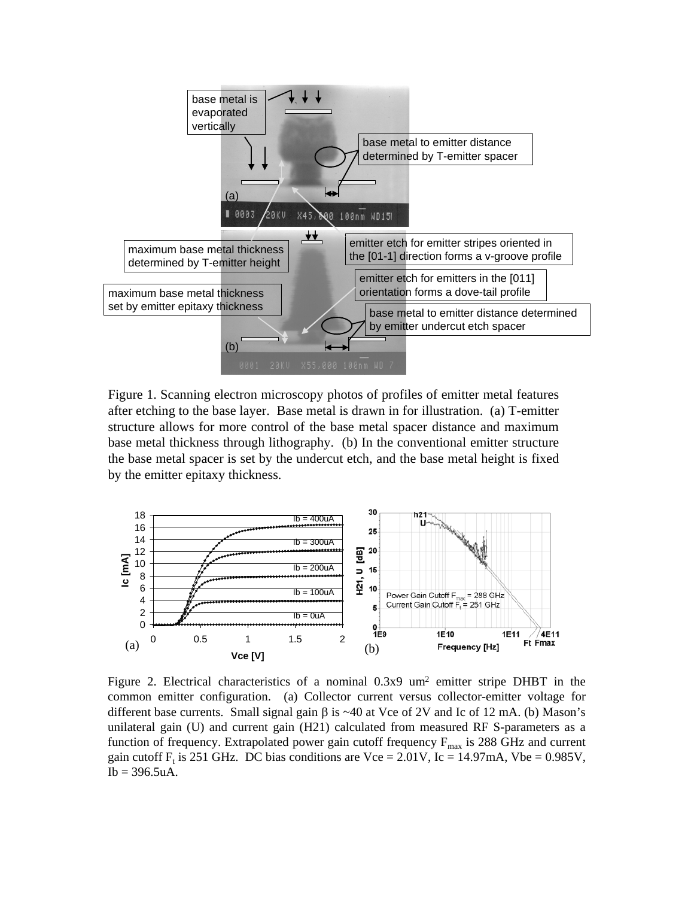

Figure 1. Scanning electron microscopy photos of profiles of emitter metal features after etching to the base layer. Base metal is drawn in for illustration. (a) T-emitter structure allows for more control of the base metal spacer distance and maximum base metal thickness through lithography. (b) In the conventional emitter structure the base metal spacer is set by the undercut etch, and the base metal height is fixed by the emitter epitaxy thickness.



Figure 2. Electrical characteristics of a nominal 0.3x9 um<sup>2</sup> emitter stripe DHBT in the common emitter configuration. (a) Collector current versus collector-emitter voltage for different base currents. Small signal gain  $\beta$  is ~40 at Vce of 2V and Ic of 12 mA. (b) Mason's unilateral gain (U) and current gain (H21) calculated from measured RF S-parameters as a function of frequency. Extrapolated power gain cutoff frequency  $F_{\text{max}}$  is 288 GHz and current gain cutoff F<sub>t</sub> is 251 GHz. DC bias conditions are Vce = 2.01V, Ic = 14.97mA, Vbe = 0.985V,  $Ib = 396.5uA.$